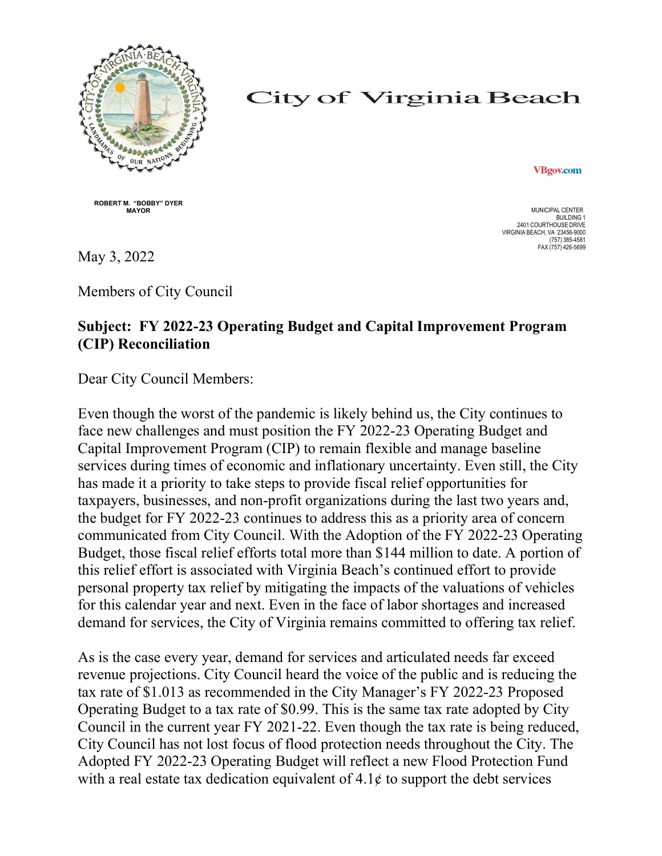

## **City of Virginia Beach**

**VBgov.com** 

ROBERT M. "BOBBY" DYER **MAYOR** MUNICIPAL CENTER

BUILDING 1 2401 COURTHOUSE DRIVE VIRGINIA BEACH, VA 23456-9000 (757) 385-4581 FAX (757) 426-5699

May 3, 2022

Members of City Council

## Subject: FY 2022-23 Operating Budget and Capital Improvement Program (CIP) Reconciliation

Dear City Council Members:

Even though the worst of the pandemic is likely behind us, the City continues to face new challenges and must position the FY 2022-23 Operating Budget and Capital Improvement Program (CIP) to remain flexible and manage baseline services during times of economic and inflationary uncertainty. Even still, the City has made it a priority to take steps to provide fiscal relief opportunities for taxpayers, businesses, and non-profit organizations during the last two years and, the budget for FY 2022-23 continues to address this as a priority area of concern communicated from City Council. With the Adoption of the FY 2022-23 Operating Budget, those fiscal relief efforts total more than \$144 million to date. A portion of this relief effort is associated with Virginia Beach's continued effort to provide personal property tax relief by mitigating the impacts of the valuations of vehicles for this calendar year and next. Even in the face of labor shortages and increased demand for services, the City of Virginia remains committed to offering tax relief.

As is the case every year, demand for services and articulated needs far exceed revenue projections. City Council heard the voice of the public and is reducing the tax rate of \$1.013 as recommended in the City Manager's FY 2022-23 Proposed Operating Budget to a tax rate of \$0.99. This is the same tax rate adopted by City Council in the current year FY 2021-22. Even though the tax rate is being reduced, City Council has not lost focus of flood protection needs throughout the City. The Adopted FY 2022-23 Operating Budget will reflect a new Flood Protection Fund with a real estate tax dedication equivalent of  $4.1¢$  to support the debt services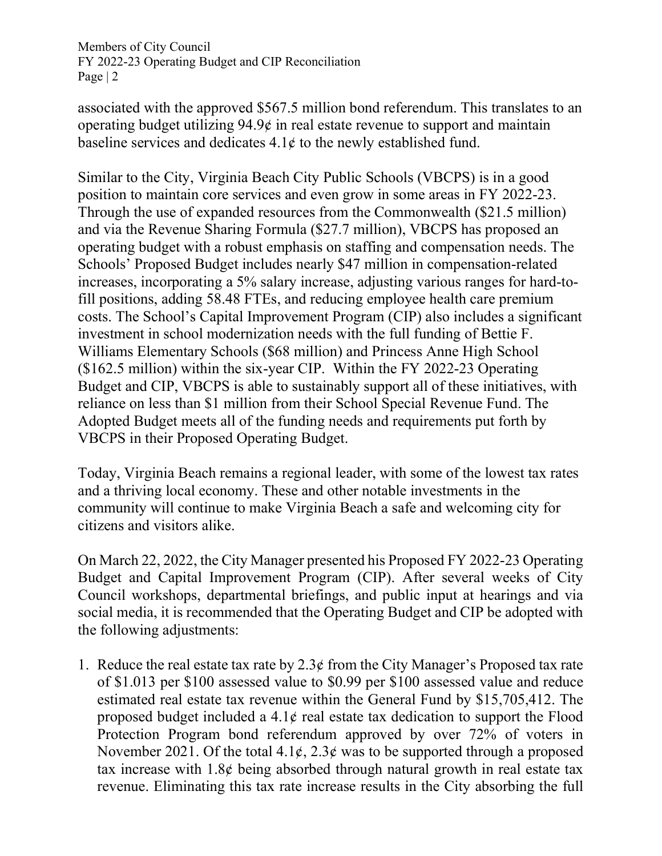associated with the approved \$567.5 million bond referendum. This translates to an operating budget utilizing 94.9¢ in real estate revenue to support and maintain baseline services and dedicates  $4.1¢$  to the newly established fund.

Similar to the City, Virginia Beach City Public Schools (VBCPS) is in a good position to maintain core services and even grow in some areas in FY 2022-23. Through the use of expanded resources from the Commonwealth (\$21.5 million) and via the Revenue Sharing Formula (\$27.7 million), VBCPS has proposed an operating budget with a robust emphasis on staffing and compensation needs. The Schools' Proposed Budget includes nearly \$47 million in compensation-related increases, incorporating a 5% salary increase, adjusting various ranges for hard-tofill positions, adding 58.48 FTEs, and reducing employee health care premium costs. The School's Capital Improvement Program (CIP) also includes a significant investment in school modernization needs with the full funding of Bettie F. Williams Elementary Schools (\$68 million) and Princess Anne High School (\$162.5 million) within the six-year CIP. Within the FY 2022-23 Operating Budget and CIP, VBCPS is able to sustainably support all of these initiatives, with reliance on less than \$1 million from their School Special Revenue Fund. The Adopted Budget meets all of the funding needs and requirements put forth by VBCPS in their Proposed Operating Budget.

Today, Virginia Beach remains a regional leader, with some of the lowest tax rates and a thriving local economy. These and other notable investments in the community will continue to make Virginia Beach a safe and welcoming city for citizens and visitors alike.

On March 22, 2022, the City Manager presented his Proposed FY 2022-23 Operating Budget and Capital Improvement Program (CIP). After several weeks of City Council workshops, departmental briefings, and public input at hearings and via social media, it is recommended that the Operating Budget and CIP be adopted with the following adjustments:

1. Reduce the real estate tax rate by  $2.3¢$  from the City Manager's Proposed tax rate of \$1.013 per \$100 assessed value to \$0.99 per \$100 assessed value and reduce estimated real estate tax revenue within the General Fund by \$15,705,412. The proposed budget included a  $4.1\phi$  real estate tax dedication to support the Flood Protection Program bond referendum approved by over 72% of voters in November 2021. Of the total  $4.1\ell$ ,  $2.3\ell$  was to be supported through a proposed tax increase with  $1.8\phi$  being absorbed through natural growth in real estate tax revenue. Eliminating this tax rate increase results in the City absorbing the full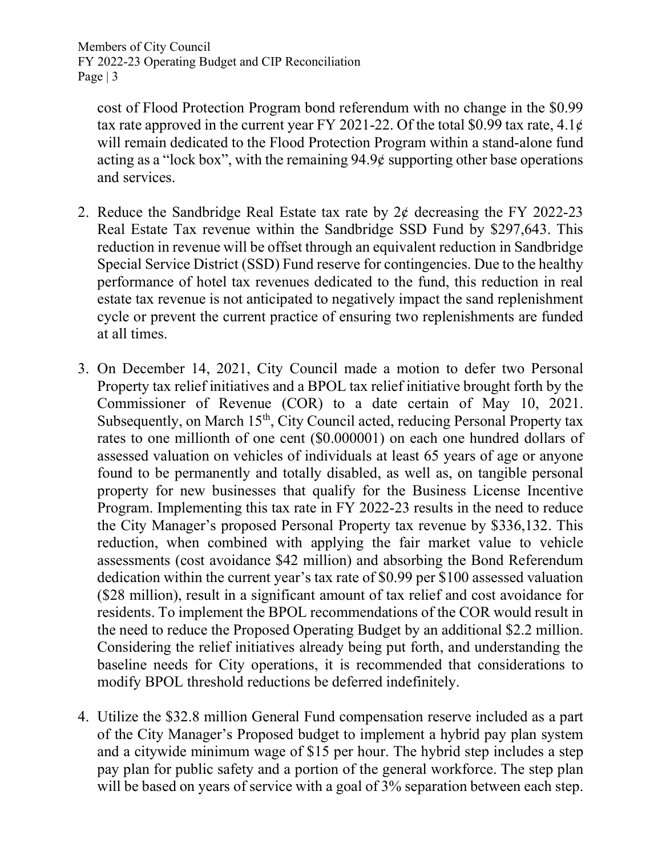cost of Flood Protection Program bond referendum with no change in the \$0.99 tax rate approved in the current year FY 2021-22. Of the total \$0.99 tax rate,  $4.1\ell$ will remain dedicated to the Flood Protection Program within a stand-alone fund acting as a "lock box", with the remaining 94.9¢ supporting other base operations and services.

- 2. Reduce the Sandbridge Real Estate tax rate by  $2\phi$  decreasing the FY 2022-23 Real Estate Tax revenue within the Sandbridge SSD Fund by \$297,643. This reduction in revenue will be offset through an equivalent reduction in Sandbridge Special Service District (SSD) Fund reserve for contingencies. Due to the healthy performance of hotel tax revenues dedicated to the fund, this reduction in real estate tax revenue is not anticipated to negatively impact the sand replenishment cycle or prevent the current practice of ensuring two replenishments are funded at all times.
- 3. On December 14, 2021, City Council made a motion to defer two Personal Property tax relief initiatives and a BPOL tax relief initiative brought forth by the Commissioner of Revenue (COR) to a date certain of May 10, 2021. Subsequently, on March 15<sup>th</sup>, City Council acted, reducing Personal Property tax rates to one millionth of one cent (\$0.000001) on each one hundred dollars of assessed valuation on vehicles of individuals at least 65 years of age or anyone found to be permanently and totally disabled, as well as, on tangible personal property for new businesses that qualify for the Business License Incentive Program. Implementing this tax rate in FY 2022-23 results in the need to reduce the City Manager's proposed Personal Property tax revenue by \$336,132. This reduction, when combined with applying the fair market value to vehicle assessments (cost avoidance \$42 million) and absorbing the Bond Referendum dedication within the current year's tax rate of \$0.99 per \$100 assessed valuation (\$28 million), result in a significant amount of tax relief and cost avoidance for residents. To implement the BPOL recommendations of the COR would result in the need to reduce the Proposed Operating Budget by an additional \$2.2 million. Considering the relief initiatives already being put forth, and understanding the baseline needs for City operations, it is recommended that considerations to modify BPOL threshold reductions be deferred indefinitely.
- 4. Utilize the \$32.8 million General Fund compensation reserve included as a part of the City Manager's Proposed budget to implement a hybrid pay plan system and a citywide minimum wage of \$15 per hour. The hybrid step includes a step pay plan for public safety and a portion of the general workforce. The step plan will be based on years of service with a goal of 3% separation between each step.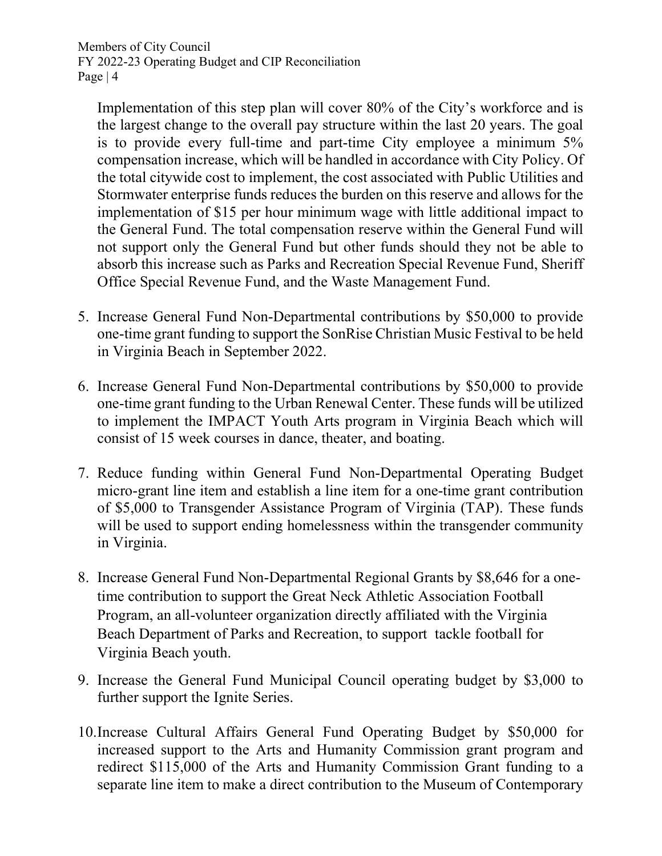Implementation of this step plan will cover 80% of the City's workforce and is the largest change to the overall pay structure within the last 20 years. The goal is to provide every full-time and part-time City employee a minimum 5% compensation increase, which will be handled in accordance with City Policy. Of the total citywide cost to implement, the cost associated with Public Utilities and Stormwater enterprise funds reduces the burden on this reserve and allows for the implementation of \$15 per hour minimum wage with little additional impact to the General Fund. The total compensation reserve within the General Fund will not support only the General Fund but other funds should they not be able to absorb this increase such as Parks and Recreation Special Revenue Fund, Sheriff Office Special Revenue Fund, and the Waste Management Fund.

- 5. Increase General Fund Non-Departmental contributions by \$50,000 to provide one-time grant funding to support the SonRise Christian Music Festival to be held in Virginia Beach in September 2022.
- 6. Increase General Fund Non-Departmental contributions by \$50,000 to provide one-time grant funding to the Urban Renewal Center. These funds will be utilized to implement the IMPACT Youth Arts program in Virginia Beach which will consist of 15 week courses in dance, theater, and boating.
- 7. Reduce funding within General Fund Non-Departmental Operating Budget micro-grant line item and establish a line item for a one-time grant contribution of \$5,000 to Transgender Assistance Program of Virginia (TAP). These funds will be used to support ending homelessness within the transgender community in Virginia.
- 8. Increase General Fund Non-Departmental Regional Grants by \$8,646 for a onetime contribution to support the Great Neck Athletic Association Football Program, an all-volunteer organization directly affiliated with the Virginia Beach Department of Parks and Recreation, to support tackle football for Virginia Beach youth.
- 9. Increase the General Fund Municipal Council operating budget by \$3,000 to further support the Ignite Series.
- 10.Increase Cultural Affairs General Fund Operating Budget by \$50,000 for increased support to the Arts and Humanity Commission grant program and redirect \$115,000 of the Arts and Humanity Commission Grant funding to a separate line item to make a direct contribution to the Museum of Contemporary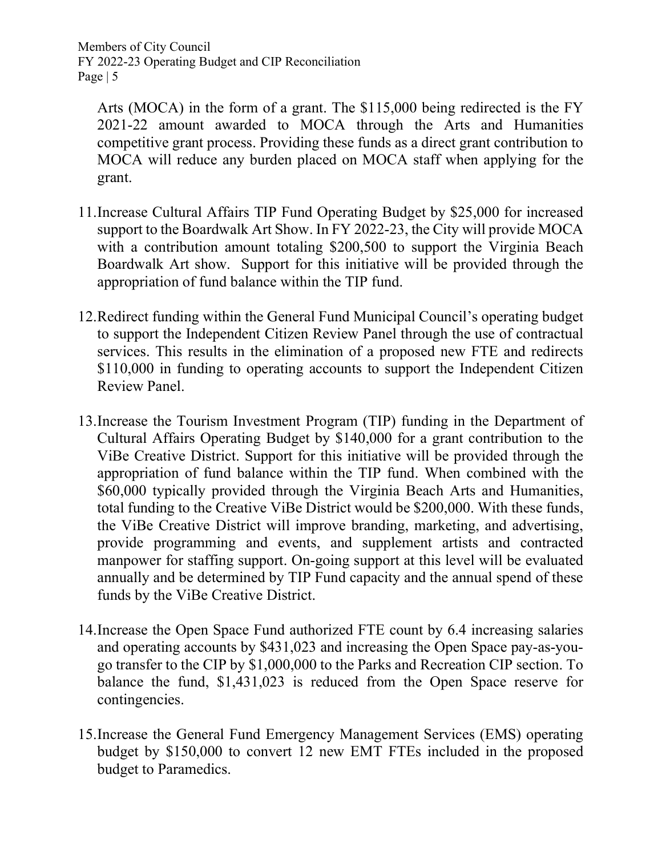Arts (MOCA) in the form of a grant. The \$115,000 being redirected is the FY 2021-22 amount awarded to MOCA through the Arts and Humanities competitive grant process. Providing these funds as a direct grant contribution to MOCA will reduce any burden placed on MOCA staff when applying for the grant.

- 11.Increase Cultural Affairs TIP Fund Operating Budget by \$25,000 for increased support to the Boardwalk Art Show. In FY 2022-23, the City will provide MOCA with a contribution amount totaling \$200,500 to support the Virginia Beach Boardwalk Art show. Support for this initiative will be provided through the appropriation of fund balance within the TIP fund.
- 12.Redirect funding within the General Fund Municipal Council's operating budget to support the Independent Citizen Review Panel through the use of contractual services. This results in the elimination of a proposed new FTE and redirects \$110,000 in funding to operating accounts to support the Independent Citizen Review Panel.
- 13.Increase the Tourism Investment Program (TIP) funding in the Department of Cultural Affairs Operating Budget by \$140,000 for a grant contribution to the ViBe Creative District. Support for this initiative will be provided through the appropriation of fund balance within the TIP fund. When combined with the \$60,000 typically provided through the Virginia Beach Arts and Humanities, total funding to the Creative ViBe District would be \$200,000. With these funds, the ViBe Creative District will improve branding, marketing, and advertising, provide programming and events, and supplement artists and contracted manpower for staffing support. On-going support at this level will be evaluated annually and be determined by TIP Fund capacity and the annual spend of these funds by the ViBe Creative District.
- 14.Increase the Open Space Fund authorized FTE count by 6.4 increasing salaries and operating accounts by \$431,023 and increasing the Open Space pay-as-yougo transfer to the CIP by \$1,000,000 to the Parks and Recreation CIP section. To balance the fund, \$1,431,023 is reduced from the Open Space reserve for contingencies.
- 15.Increase the General Fund Emergency Management Services (EMS) operating budget by \$150,000 to convert 12 new EMT FTEs included in the proposed budget to Paramedics.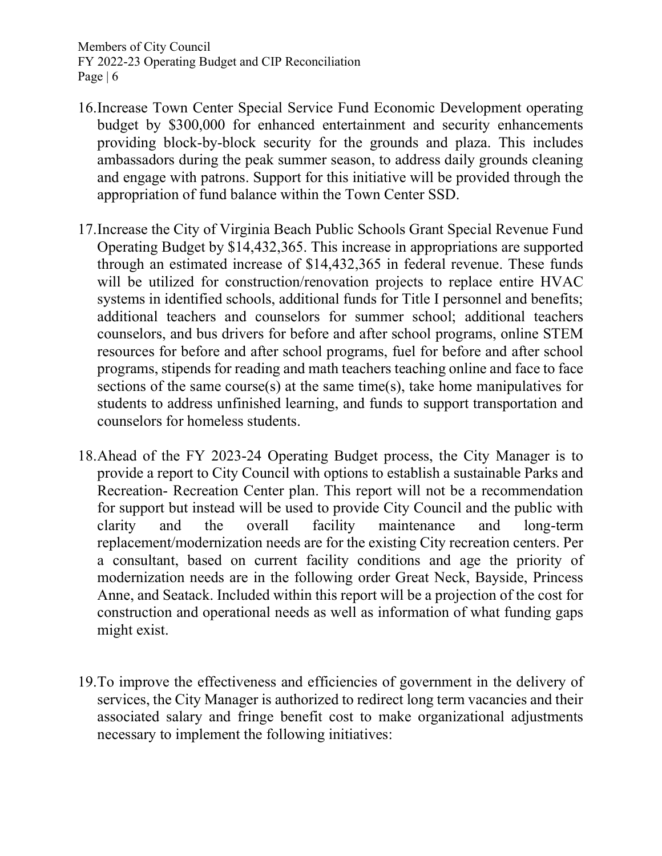- 16.Increase Town Center Special Service Fund Economic Development operating budget by \$300,000 for enhanced entertainment and security enhancements providing block-by-block security for the grounds and plaza. This includes ambassadors during the peak summer season, to address daily grounds cleaning and engage with patrons. Support for this initiative will be provided through the appropriation of fund balance within the Town Center SSD.
- 17.Increase the City of Virginia Beach Public Schools Grant Special Revenue Fund Operating Budget by \$14,432,365. This increase in appropriations are supported through an estimated increase of \$14,432,365 in federal revenue. These funds will be utilized for construction/renovation projects to replace entire HVAC systems in identified schools, additional funds for Title I personnel and benefits; additional teachers and counselors for summer school; additional teachers counselors, and bus drivers for before and after school programs, online STEM resources for before and after school programs, fuel for before and after school programs, stipends for reading and math teachers teaching online and face to face sections of the same course(s) at the same time(s), take home manipulatives for students to address unfinished learning, and funds to support transportation and counselors for homeless students.
- 18.Ahead of the FY 2023-24 Operating Budget process, the City Manager is to provide a report to City Council with options to establish a sustainable Parks and Recreation- Recreation Center plan. This report will not be a recommendation for support but instead will be used to provide City Council and the public with clarity and the overall facility maintenance and long-term replacement/modernization needs are for the existing City recreation centers. Per a consultant, based on current facility conditions and age the priority of modernization needs are in the following order Great Neck, Bayside, Princess Anne, and Seatack. Included within this report will be a projection of the cost for construction and operational needs as well as information of what funding gaps might exist.
- 19.To improve the effectiveness and efficiencies of government in the delivery of services, the City Manager is authorized to redirect long term vacancies and their associated salary and fringe benefit cost to make organizational adjustments necessary to implement the following initiatives: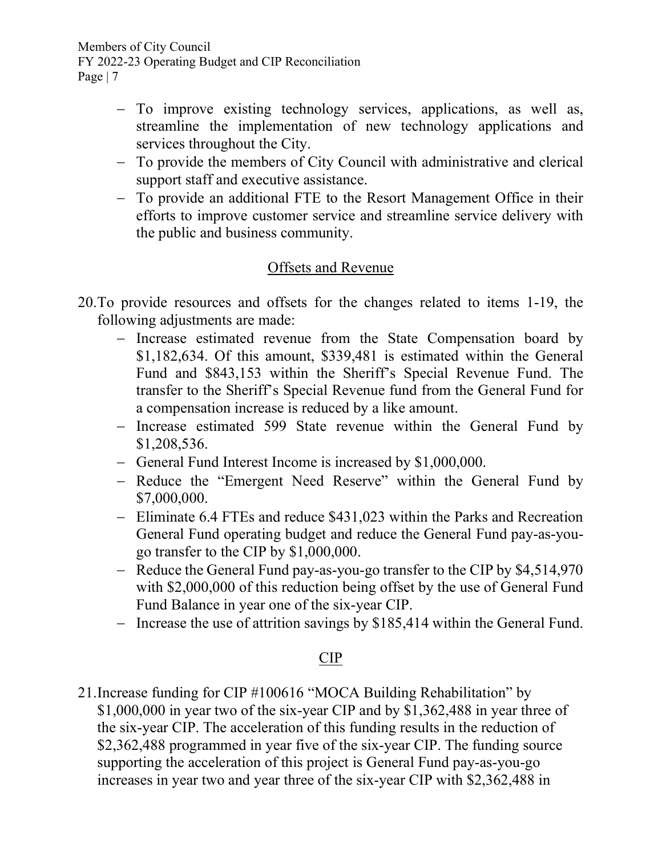- To improve existing technology services, applications, as well as, streamline the implementation of new technology applications and services throughout the City.
- To provide the members of City Council with administrative and clerical support staff and executive assistance.
- To provide an additional FTE to the Resort Management Office in their efforts to improve customer service and streamline service delivery with the public and business community.

## Offsets and Revenue

- 20.To provide resources and offsets for the changes related to items 1-19, the following adjustments are made:
	- Increase estimated revenue from the State Compensation board by \$1,182,634. Of this amount, \$339,481 is estimated within the General Fund and \$843,153 within the Sheriff's Special Revenue Fund. The transfer to the Sheriff's Special Revenue fund from the General Fund for a compensation increase is reduced by a like amount.
	- Increase estimated 599 State revenue within the General Fund by \$1,208,536.
	- General Fund Interest Income is increased by \$1,000,000.
	- Reduce the "Emergent Need Reserve" within the General Fund by \$7,000,000.
	- Eliminate 6.4 FTEs and reduce \$431,023 within the Parks and Recreation General Fund operating budget and reduce the General Fund pay-as-yougo transfer to the CIP by \$1,000,000.
	- Reduce the General Fund pay-as-you-go transfer to the CIP by \$4,514,970 with \$2,000,000 of this reduction being offset by the use of General Fund Fund Balance in year one of the six-year CIP.
	- Increase the use of attrition savings by \$185,414 within the General Fund.

## CIP

21.Increase funding for CIP #100616 "MOCA Building Rehabilitation" by \$1,000,000 in year two of the six-year CIP and by \$1,362,488 in year three of the six-year CIP. The acceleration of this funding results in the reduction of \$2,362,488 programmed in year five of the six-year CIP. The funding source supporting the acceleration of this project is General Fund pay-as-you-go increases in year two and year three of the six-year CIP with \$2,362,488 in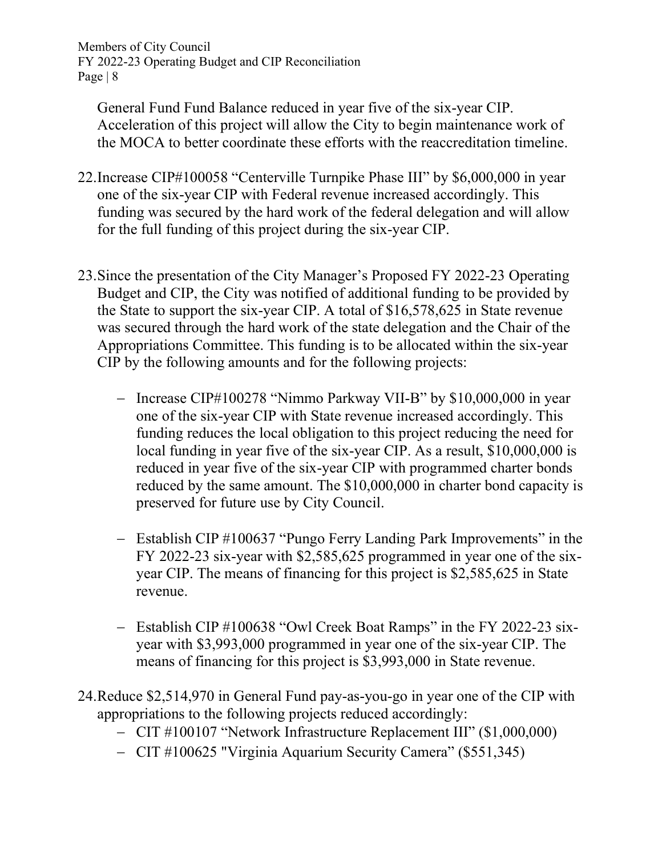General Fund Fund Balance reduced in year five of the six-year CIP. Acceleration of this project will allow the City to begin maintenance work of the MOCA to better coordinate these efforts with the reaccreditation timeline.

- 22.Increase CIP#100058 "Centerville Turnpike Phase III" by \$6,000,000 in year one of the six-year CIP with Federal revenue increased accordingly. This funding was secured by the hard work of the federal delegation and will allow for the full funding of this project during the six-year CIP.
- 23.Since the presentation of the City Manager's Proposed FY 2022-23 Operating Budget and CIP, the City was notified of additional funding to be provided by the State to support the six-year CIP. A total of \$16,578,625 in State revenue was secured through the hard work of the state delegation and the Chair of the Appropriations Committee. This funding is to be allocated within the six-year CIP by the following amounts and for the following projects:
	- Increase CIP#100278 "Nimmo Parkway VII-B" by \$10,000,000 in year one of the six-year CIP with State revenue increased accordingly. This funding reduces the local obligation to this project reducing the need for local funding in year five of the six-year CIP. As a result, \$10,000,000 is reduced in year five of the six-year CIP with programmed charter bonds reduced by the same amount. The \$10,000,000 in charter bond capacity is preserved for future use by City Council.
	- Establish CIP #100637 "Pungo Ferry Landing Park Improvements" in the FY 2022-23 six-year with \$2,585,625 programmed in year one of the sixyear CIP. The means of financing for this project is \$2,585,625 in State revenue.
	- Establish CIP #100638 "Owl Creek Boat Ramps" in the FY 2022-23 sixyear with \$3,993,000 programmed in year one of the six-year CIP. The means of financing for this project is \$3,993,000 in State revenue.
- 24.Reduce \$2,514,970 in General Fund pay-as-you-go in year one of the CIP with appropriations to the following projects reduced accordingly:
	- CIT #100107 "Network Infrastructure Replacement III" (\$1,000,000)
	- CIT #100625 "Virginia Aquarium Security Camera" (\$551,345)